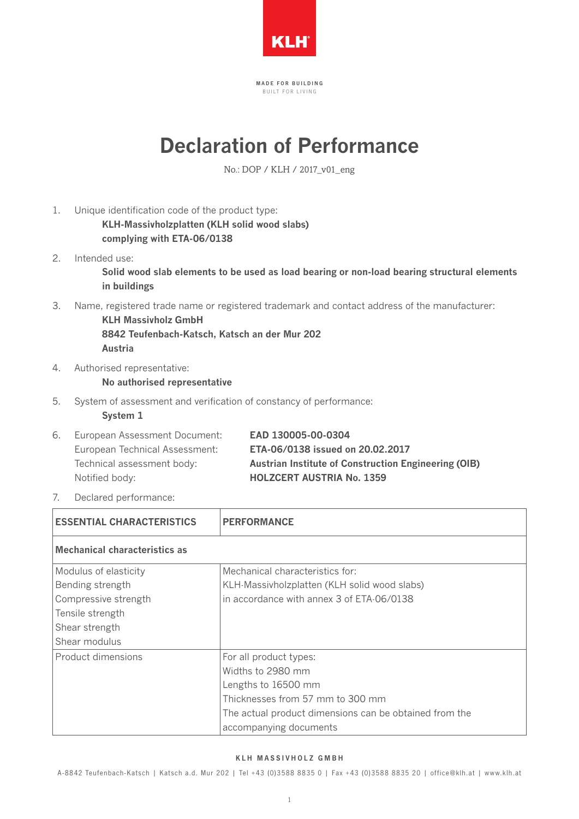

MADE FOR BUILDING BUILT FOR LIVING

## **Declaration of Performance**

No.: DOP / KLH / 2017\_v01\_eng

- 1. Unique identification code of the product type: **KLH-Massivholzplatten (KLH solid wood slabs) complying with ETA-06/0138**
- 2. Intended use: **Solid wood slab elements to be used as load bearing or non-load bearing structural elements in buildings**
- 3. Name, registered trade name or registered trademark and contact address of the manufacturer:

**KLH Massivholz GmbH 8842 Teufenbach-Katsch, Katsch an der Mur 202 Austria**

4. Authorised representative: 

## **No authorised representative**

5. System of assessment and verification of constancy of performance:

**System 1**

|  | 6. European Assessment Document: | EAD 130005-00-0304                                          |
|--|----------------------------------|-------------------------------------------------------------|
|  | European Technical Assessment:   | ETA-06/0138 issued on 20.02.2017                            |
|  | Technical assessment body:       | <b>Austrian Institute of Construction Engineering (OIB)</b> |
|  | Notified body:                   | <b>HOLZCERT AUSTRIA No. 1359</b>                            |
|  |                                  |                                                             |

7. Declared performance:

| <b>ESSENTIAL CHARACTERISTICS</b>                                                                                         | <b>PERFORMANCE</b>                                                                                                                                                                         |  |
|--------------------------------------------------------------------------------------------------------------------------|--------------------------------------------------------------------------------------------------------------------------------------------------------------------------------------------|--|
| <b>Mechanical characteristics as</b>                                                                                     |                                                                                                                                                                                            |  |
| Modulus of elasticity<br>Bending strength<br>Compressive strength<br>Tensile strength<br>Shear strength<br>Shear modulus | Mechanical characteristics for:<br>KLH-Massivholzplatten (KLH solid wood slabs)<br>in accordance with annex 3 of ETA-06/0138                                                               |  |
| Product dimensions                                                                                                       | For all product types:<br>Widths to 2980 mm<br>Lengths to 16500 mm<br>Thicknesses from 57 mm to 300 mm<br>The actual product dimensions can be obtained from the<br>accompanying documents |  |

## KLH MASSIVHOLZ GMBH

A-8842 Teufenbach-Katsch | Katsch a.d. Mur 202 | Tel +43 (0)3588 8835 0 | Fax +43 (0)3588 8835 20 | of fice@klh.at | www.klh.at